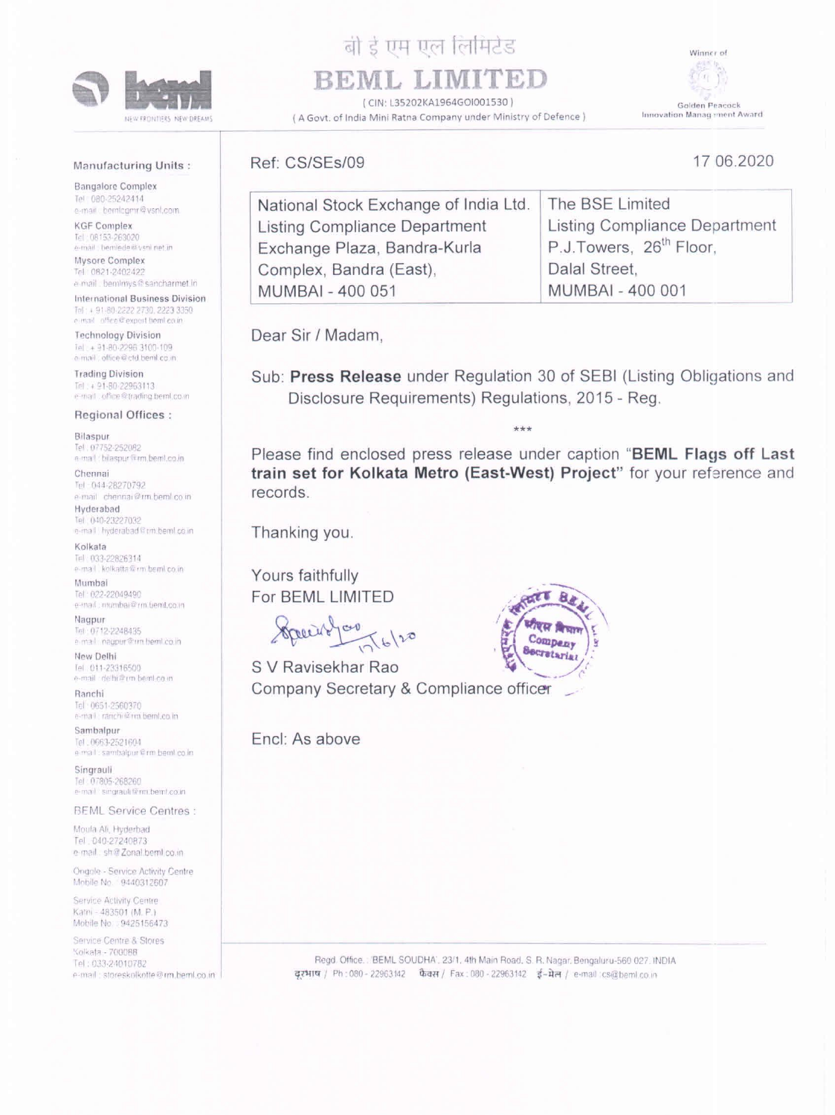

INEW FRONTIERS INEW DREAMS

## बी डे एम एल लिमिटेड BEML LIMITED

(CIN: L35202KA1964GOI001530) (A Govt. of India Mini Ratna Company under Ministry of Defence) Winner of



17 06.2020

Golden Peacock Innovation Management Award

## Manufacturing Units:

**Bangalore Complex** Tel: 080-25242414 e-mail: bemicumr@vsnl.com

**KGF Complex** Tel: 08153-263020 e-mail: bemlede@vsnl net in

Mysore Complex Tel 0821-2402422 e-mail bemimys@sancharmet.in

International Business Division Tel: + 91-80-2222 2730, 2223 3350 e-mail office@export.bemLco.in

**Technology Division** Tel: + 91-80-2295 3100-109 e-mail: office@ctd.benil.co.in

**Trading Division** Tel: + 91-80-22963113 e-mail... office@trading.beml.co.in

**Regional Offices:** 

Bilaspur

| National Stock Exchange of India Ltd. | The BSE Limited                      |
|---------------------------------------|--------------------------------------|
| Listing Compliance Department         | <b>Listing Compliance Department</b> |
| Exchange Plaza, Bandra-Kurla          | P.J.Towers, 26 <sup>th</sup> Floor,  |
| Complex, Bandra (East),               | Dalal Street,                        |
| <b>MUMBAI - 400 051</b>               | <b>MUMBAI - 400 001</b>              |

Dear Sir / Madam,

Ref: CS/SEs/09

Sub: Press Release under Regulation 30 of SEBI (Listing Obligations and Disclosure Requirements) Regulations, 2015 - Reg.

Tel. 07752-252082 e-mail: bilaspur@rm.beml.co.in

## Chennai

Tel: 044-28270792 e-mail chennai@rm.beml.co.in

Hyderabad Tel: 040-23227032 e-mail hyderabad@rm.beml.co.in

Kolkata

Tel: 033-22826314 e-mail. kolkatta@rm beml.co.in:

Mumbai Tel: 022-22049490 e-mail: mumbai@rm.benit.co.in

Nagpur Tel: 0712-2248435 e-mail nagpur@un beml co.in

New Delhi Tel. 011-23316500 e-mail delhi@rm beml.co.in

Ranchi Tel: 0651-2560370 e-mail: ranchiliz rm beml.co.in

Sambalpur Tel: 0663-2521604 e mail: sambalpur@rm bemlico in

Singrauli Tel: 07805-268260 e-mail singrauliferm.bent.co.in

**BEML Service Centres:** 

Moula Ali, Hyderbad Tel. 040-27240873 e-mail: sh@Zonal.beml.co.in

Ongole - Service Activity Centre Mobile No. 9440312607

Please find enclosed press release under caption "BEML Flags off Last train set for Kolkata Metro (East-West) Project" for your reference and records.

Thanking you.

Yours faithfully For BEML LIMITED

S V Ravisekhar Rao Company Secretary & Compliance officer

Encl: As above



Service Activity Centre Katni - 483501 (M. P.). Mobile No 9425156473

Service Centre & Stores Kolkata - 700088 Tel: 033-24010782 e-mail: storeskolkotte@rm.beml.co.in

Regd. Office.: 'BEML SOUDHA', 23/1, 4th Main Road, S. R. Nagar, Bengaluru-560 027. INDIA दूरभाष / Ph: 080 - 22963142 फैक्स / Fax: 080 - 22963142 ई-मेल / e-mail ics@beml.co.in